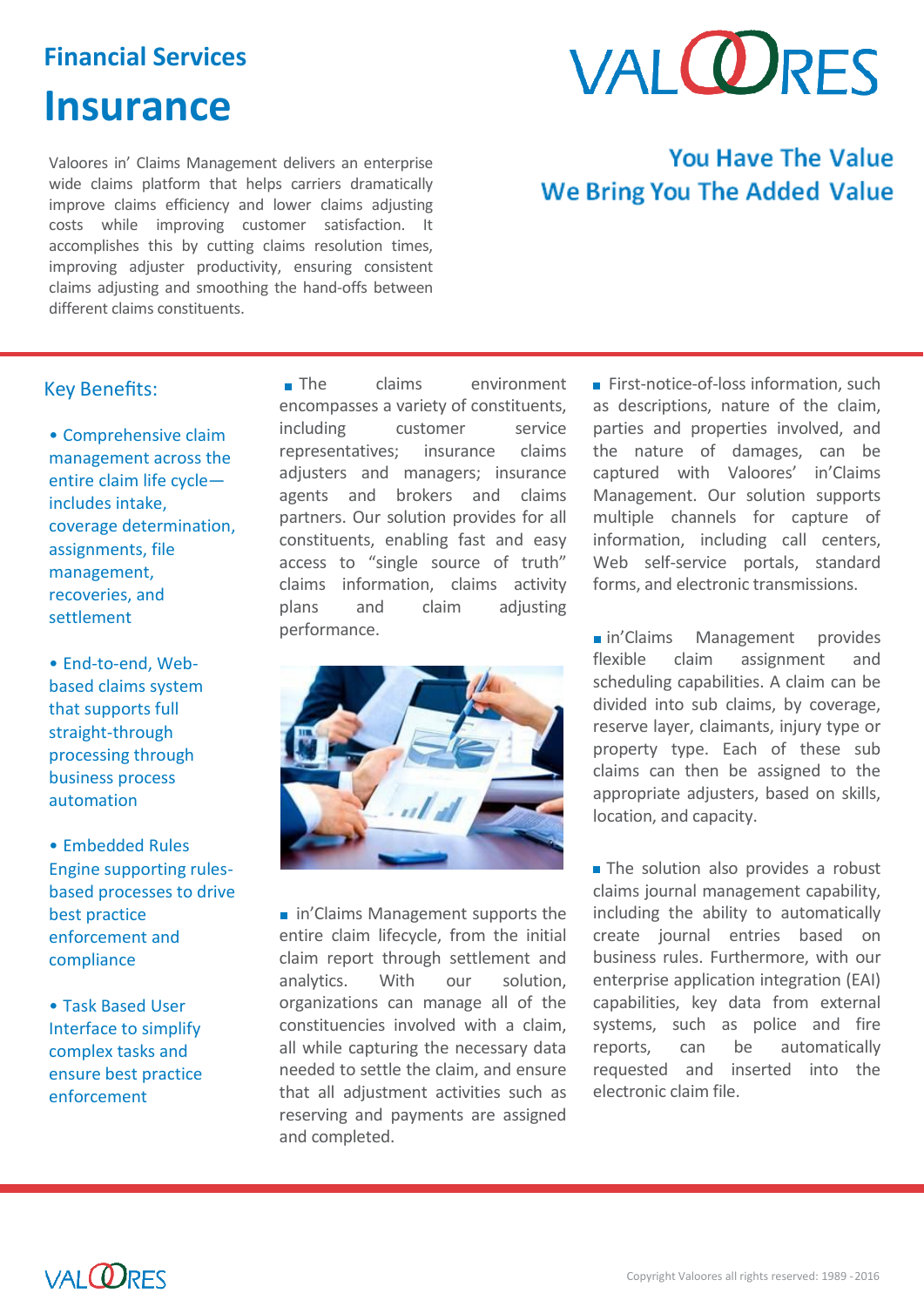## **Financial Services**

# **Insurance**

Valoores in' Claims Management delivers an enterprise wide claims platform that helps carriers dramatically improve claims efficiency and lower claims adjusting costs while improving customer satisfaction. It accomplishes this by cutting claims resolution times, improving adjuster productivity, ensuring consistent claims adjusting and smoothing the hand-offs between different claims constituents.

# **VALORES**

# **You Have The Value We Bring You The Added Value**

## Key Benefits:

• Comprehensive claim management across the entire claim life cycle includes intake, coverage determination, assignments, file management, recoveries, and settlement

• End-to-end, Webbased claims system that supports full straight-through processing through business process automation

• Embedded Rules Engine supporting rulesbased processes to drive best practice enforcement and compliance

• Task Based User Interface to simplify complex tasks and ensure best practice enforcement

The claims environment encompasses a variety of constituents, including customer service representatives; insurance claims adjusters and managers; insurance agents and brokers and claims partners. Our solution provides for all constituents, enabling fast and easy access to "single source of truth" claims information, claims activity plans and claim adjusting performance.



**in'Claims Management supports the** entire claim lifecycle, from the initial claim report through settlement and analytics. With our solution, organizations can manage all of the constituencies involved with a claim, all while capturing the necessary data needed to settle the claim, and ensure that all adjustment activities such as reserving and payments are assigned and completed.

First-notice-of-loss information, such as descriptions, nature of the claim, parties and properties involved, and the nature of damages, can be captured with Valoores' in'Claims Management. Our solution supports multiple channels for capture of information, including call centers, Web self-service portals, standard forms, and electronic transmissions.

nin'Claims Management provides flexible claim assignment and scheduling capabilities. A claim can be divided into sub claims, by coverage, reserve layer, claimants, injury type or property type. Each of these sub claims can then be assigned to the appropriate adjusters, based on skills, location, and capacity.

The solution also provides a robust claims journal management capability, including the ability to automatically create journal entries based on business rules. Furthermore, with our enterprise application integration (EAI) capabilities, key data from external systems, such as police and fire reports, can be automatically requested and inserted into the electronic claim file.